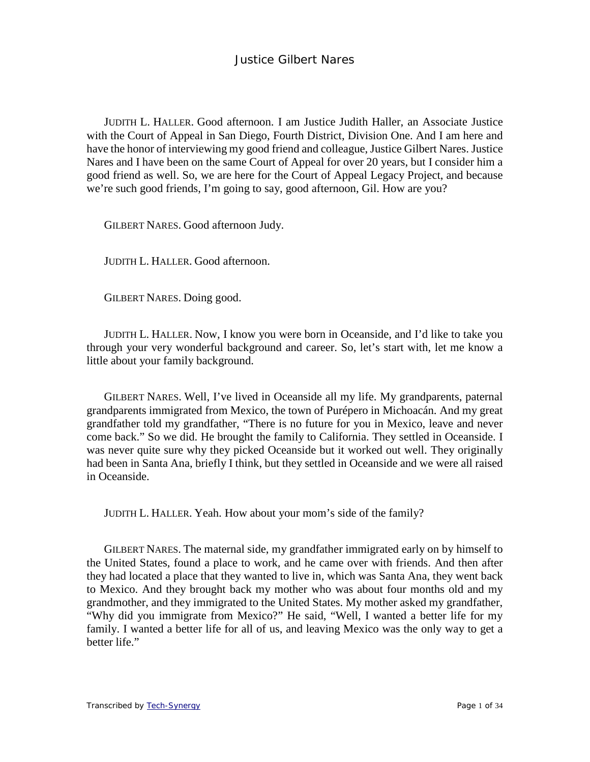JUDITH L. HALLER. Good afternoon. I am Justice Judith Haller, an Associate Justice with the Court of Appeal in San Diego, Fourth District, Division One. And I am here and have the honor of interviewing my good friend and colleague, Justice Gilbert Nares. Justice Nares and I have been on the same Court of Appeal for over 20 years, but I consider him a good friend as well. So, we are here for the Court of Appeal Legacy Project, and because we're such good friends, I'm going to say, good afternoon, Gil. How are you?

GILBERT NARES. Good afternoon Judy.

JUDITH L. HALLER. Good afternoon.

GILBERT NARES. Doing good.

JUDITH L. HALLER. Now, I know you were born in Oceanside, and I'd like to take you through your very wonderful background and career. So, let's start with, let me know a little about your family background.

GILBERT NARES. Well, I've lived in Oceanside all my life. My grandparents, paternal grandparents immigrated from Mexico, the town of Purépero in Michoacán. And my great grandfather told my grandfather, "There is no future for you in Mexico, leave and never come back." So we did. He brought the family to California. They settled in Oceanside. I was never quite sure why they picked Oceanside but it worked out well. They originally had been in Santa Ana, briefly I think, but they settled in Oceanside and we were all raised in Oceanside.

JUDITH L. HALLER. Yeah. How about your mom's side of the family?

GILBERT NARES. The maternal side, my grandfather immigrated early on by himself to the United States, found a place to work, and he came over with friends. And then after they had located a place that they wanted to live in, which was Santa Ana, they went back to Mexico. And they brought back my mother who was about four months old and my grandmother, and they immigrated to the United States. My mother asked my grandfather, "Why did you immigrate from Mexico?" He said, "Well, I wanted a better life for my family. I wanted a better life for all of us, and leaving Mexico was the only way to get a better life."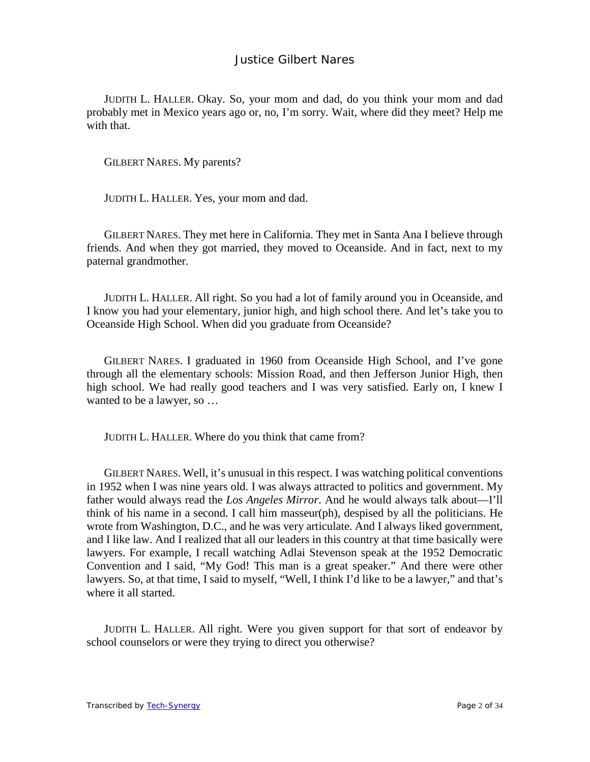JUDITH L. HALLER. Okay. So, your mom and dad, do you think your mom and dad probably met in Mexico years ago or, no, I'm sorry. Wait, where did they meet? Help me with that.

GILBERT NARES. My parents?

JUDITH L. HALLER. Yes, your mom and dad.

GILBERT NARES. They met here in California. They met in Santa Ana I believe through friends. And when they got married, they moved to Oceanside. And in fact, next to my paternal grandmother.

JUDITH L. HALLER. All right. So you had a lot of family around you in Oceanside, and I know you had your elementary, junior high, and high school there. And let's take you to Oceanside High School. When did you graduate from Oceanside?

GILBERT NARES. I graduated in 1960 from Oceanside High School, and I've gone through all the elementary schools: Mission Road, and then Jefferson Junior High, then high school. We had really good teachers and I was very satisfied. Early on, I knew I wanted to be a lawyer, so …

JUDITH L. HALLER. Where do you think that came from?

GILBERT NARES. Well, it's unusual in this respect. I was watching political conventions in 1952 when I was nine years old. I was always attracted to politics and government. My father would always read the *Los Angeles Mirror*. And he would always talk about—I'll think of his name in a second. I call him masseur(ph), despised by all the politicians. He wrote from Washington, D.C., and he was very articulate. And I always liked government, and I like law. And I realized that all our leaders in this country at that time basically were lawyers. For example, I recall watching Adlai Stevenson speak at the 1952 Democratic Convention and I said, "My God! This man is a great speaker." And there were other lawyers. So, at that time, I said to myself, "Well, I think I'd like to be a lawyer," and that's where it all started.

JUDITH L. HALLER. All right. Were you given support for that sort of endeavor by school counselors or were they trying to direct you otherwise?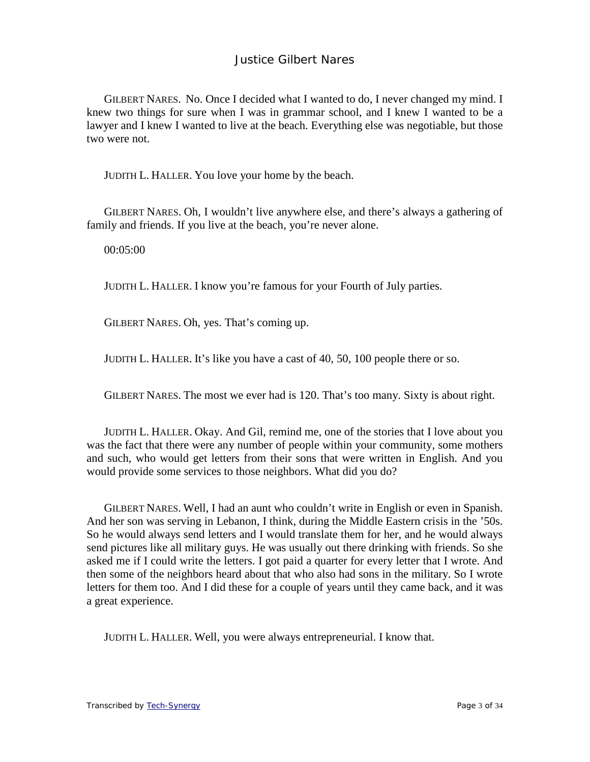GILBERT NARES. No. Once I decided what I wanted to do, I never changed my mind. I knew two things for sure when I was in grammar school, and I knew I wanted to be a lawyer and I knew I wanted to live at the beach. Everything else was negotiable, but those two were not.

JUDITH L. HALLER. You love your home by the beach.

GILBERT NARES. Oh, I wouldn't live anywhere else, and there's always a gathering of family and friends. If you live at the beach, you're never alone.

00:05:00

JUDITH L. HALLER. I know you're famous for your Fourth of July parties.

GILBERT NARES. Oh, yes. That's coming up.

JUDITH L. HALLER. It's like you have a cast of 40, 50, 100 people there or so.

GILBERT NARES. The most we ever had is 120. That's too many. Sixty is about right.

JUDITH L. HALLER. Okay. And Gil, remind me, one of the stories that I love about you was the fact that there were any number of people within your community, some mothers and such, who would get letters from their sons that were written in English. And you would provide some services to those neighbors. What did you do?

GILBERT NARES. Well, I had an aunt who couldn't write in English or even in Spanish. And her son was serving in Lebanon, I think, during the Middle Eastern crisis in the '50s. So he would always send letters and I would translate them for her, and he would always send pictures like all military guys. He was usually out there drinking with friends. So she asked me if I could write the letters. I got paid a quarter for every letter that I wrote. And then some of the neighbors heard about that who also had sons in the military. So I wrote letters for them too. And I did these for a couple of years until they came back, and it was a great experience.

JUDITH L. HALLER. Well, you were always entrepreneurial. I know that.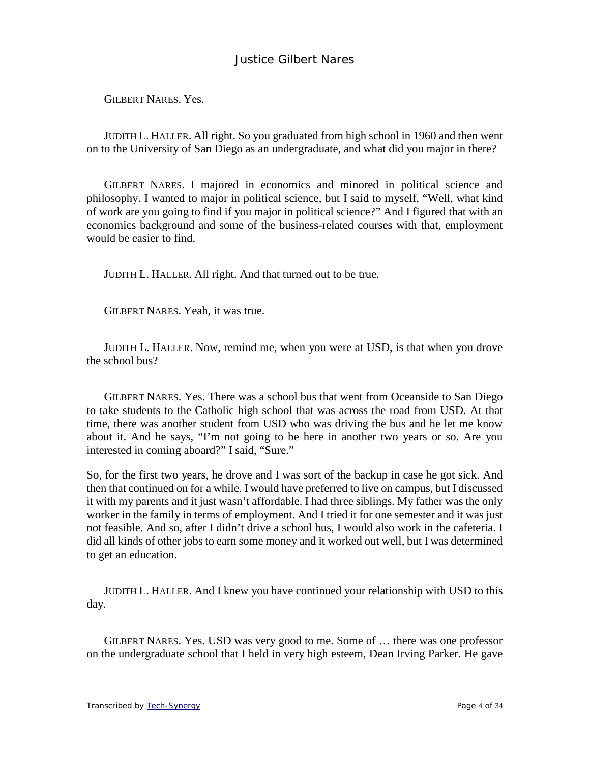GILBERT NARES. Yes.

JUDITH L. HALLER. All right. So you graduated from high school in 1960 and then went on to the University of San Diego as an undergraduate, and what did you major in there?

GILBERT NARES. I majored in economics and minored in political science and philosophy. I wanted to major in political science, but I said to myself, "Well, what kind of work are you going to find if you major in political science?" And I figured that with an economics background and some of the business-related courses with that, employment would be easier to find.

JUDITH L. HALLER. All right. And that turned out to be true.

GILBERT NARES. Yeah, it was true.

JUDITH L. HALLER. Now, remind me, when you were at USD, is that when you drove the school bus?

GILBERT NARES. Yes. There was a school bus that went from Oceanside to San Diego to take students to the Catholic high school that was across the road from USD. At that time, there was another student from USD who was driving the bus and he let me know about it. And he says, "I'm not going to be here in another two years or so. Are you interested in coming aboard?" I said, "Sure."

So, for the first two years, he drove and I was sort of the backup in case he got sick. And then that continued on for a while. I would have preferred to live on campus, but I discussed it with my parents and it just wasn't affordable. I had three siblings. My father was the only worker in the family in terms of employment. And I tried it for one semester and it was just not feasible. And so, after I didn't drive a school bus, I would also work in the cafeteria. I did all kinds of other jobs to earn some money and it worked out well, but I was determined to get an education.

JUDITH L. HALLER. And I knew you have continued your relationship with USD to this day.

GILBERT NARES. Yes. USD was very good to me. Some of … there was one professor on the undergraduate school that I held in very high esteem, Dean Irving Parker. He gave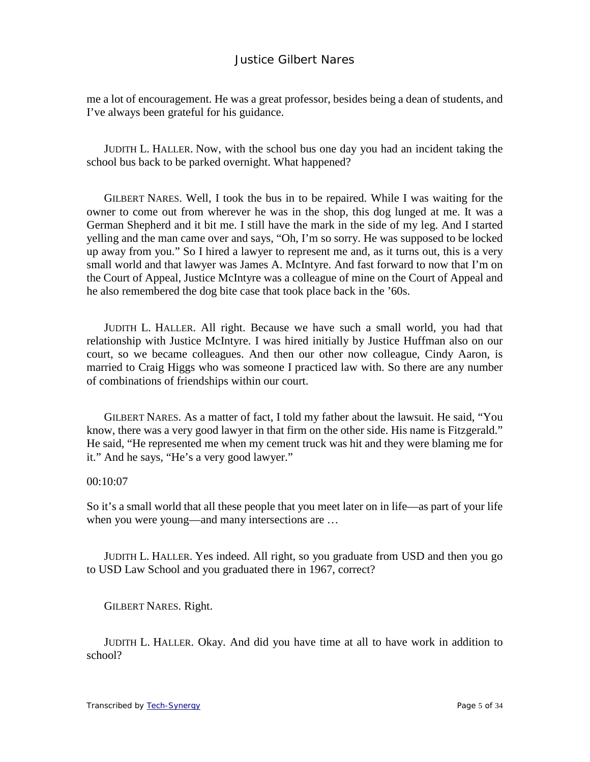me a lot of encouragement. He was a great professor, besides being a dean of students, and I've always been grateful for his guidance.

JUDITH L. HALLER. Now, with the school bus one day you had an incident taking the school bus back to be parked overnight. What happened?

GILBERT NARES. Well, I took the bus in to be repaired. While I was waiting for the owner to come out from wherever he was in the shop, this dog lunged at me. It was a German Shepherd and it bit me. I still have the mark in the side of my leg. And I started yelling and the man came over and says, "Oh, I'm so sorry. He was supposed to be locked up away from you." So I hired a lawyer to represent me and, as it turns out, this is a very small world and that lawyer was James A. McIntyre. And fast forward to now that I'm on the Court of Appeal, Justice McIntyre was a colleague of mine on the Court of Appeal and he also remembered the dog bite case that took place back in the '60s.

JUDITH L. HALLER. All right. Because we have such a small world, you had that relationship with Justice McIntyre. I was hired initially by Justice Huffman also on our court, so we became colleagues. And then our other now colleague, Cindy Aaron, is married to Craig Higgs who was someone I practiced law with. So there are any number of combinations of friendships within our court.

GILBERT NARES. As a matter of fact, I told my father about the lawsuit. He said, "You know, there was a very good lawyer in that firm on the other side. His name is Fitzgerald." He said, "He represented me when my cement truck was hit and they were blaming me for it." And he says, "He's a very good lawyer."

#### 00:10:07

So it's a small world that all these people that you meet later on in life—as part of your life when you were young—and many intersections are …

JUDITH L. HALLER. Yes indeed. All right, so you graduate from USD and then you go to USD Law School and you graduated there in 1967, correct?

GILBERT NARES. Right.

JUDITH L. HALLER. Okay. And did you have time at all to have work in addition to school?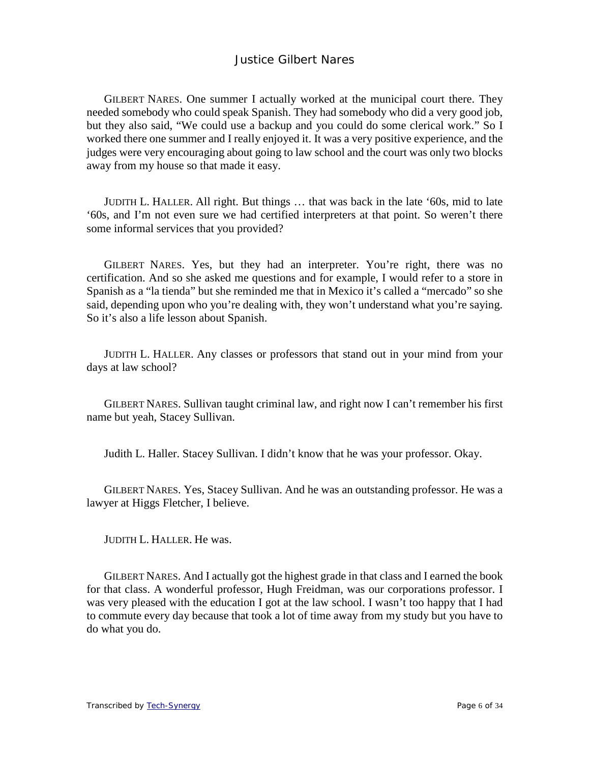GILBERT NARES. One summer I actually worked at the municipal court there. They needed somebody who could speak Spanish. They had somebody who did a very good job, but they also said, "We could use a backup and you could do some clerical work." So I worked there one summer and I really enjoyed it. It was a very positive experience, and the judges were very encouraging about going to law school and the court was only two blocks away from my house so that made it easy.

JUDITH L. HALLER. All right. But things … that was back in the late '60s, mid to late '60s, and I'm not even sure we had certified interpreters at that point. So weren't there some informal services that you provided?

GILBERT NARES. Yes, but they had an interpreter. You're right, there was no certification. And so she asked me questions and for example, I would refer to a store in Spanish as a "la tienda" but she reminded me that in Mexico it's called a "mercado" so she said, depending upon who you're dealing with, they won't understand what you're saying. So it's also a life lesson about Spanish.

JUDITH L. HALLER. Any classes or professors that stand out in your mind from your days at law school?

GILBERT NARES. Sullivan taught criminal law, and right now I can't remember his first name but yeah, Stacey Sullivan.

Judith L. Haller. Stacey Sullivan. I didn't know that he was your professor. Okay.

GILBERT NARES. Yes, Stacey Sullivan. And he was an outstanding professor. He was a lawyer at Higgs Fletcher, I believe.

JUDITH L. HALLER. He was.

GILBERT NARES. And I actually got the highest grade in that class and I earned the book for that class. A wonderful professor, Hugh Freidman, was our corporations professor. I was very pleased with the education I got at the law school. I wasn't too happy that I had to commute every day because that took a lot of time away from my study but you have to do what you do.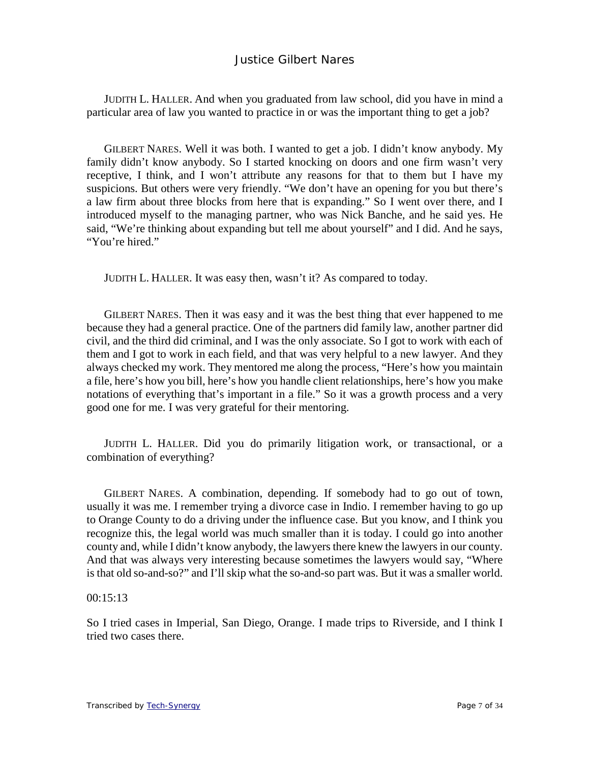JUDITH L. HALLER. And when you graduated from law school, did you have in mind a particular area of law you wanted to practice in or was the important thing to get a job?

GILBERT NARES. Well it was both. I wanted to get a job. I didn't know anybody. My family didn't know anybody. So I started knocking on doors and one firm wasn't very receptive, I think, and I won't attribute any reasons for that to them but I have my suspicions. But others were very friendly. "We don't have an opening for you but there's a law firm about three blocks from here that is expanding." So I went over there, and I introduced myself to the managing partner, who was Nick Banche, and he said yes. He said, "We're thinking about expanding but tell me about yourself" and I did. And he says, "You're hired."

JUDITH L. HALLER. It was easy then, wasn't it? As compared to today.

GILBERT NARES. Then it was easy and it was the best thing that ever happened to me because they had a general practice. One of the partners did family law, another partner did civil, and the third did criminal, and I was the only associate. So I got to work with each of them and I got to work in each field, and that was very helpful to a new lawyer. And they always checked my work. They mentored me along the process, "Here's how you maintain a file, here's how you bill, here's how you handle client relationships, here's how you make notations of everything that's important in a file." So it was a growth process and a very good one for me. I was very grateful for their mentoring.

JUDITH L. HALLER. Did you do primarily litigation work, or transactional, or a combination of everything?

GILBERT NARES. A combination, depending. If somebody had to go out of town, usually it was me. I remember trying a divorce case in Indio. I remember having to go up to Orange County to do a driving under the influence case. But you know, and I think you recognize this, the legal world was much smaller than it is today. I could go into another county and, while I didn't know anybody, the lawyers there knew the lawyers in our county. And that was always very interesting because sometimes the lawyers would say, "Where is that old so-and-so?" and I'll skip what the so-and-so part was. But it was a smaller world.

#### 00:15:13

So I tried cases in Imperial, San Diego, Orange. I made trips to Riverside, and I think I tried two cases there.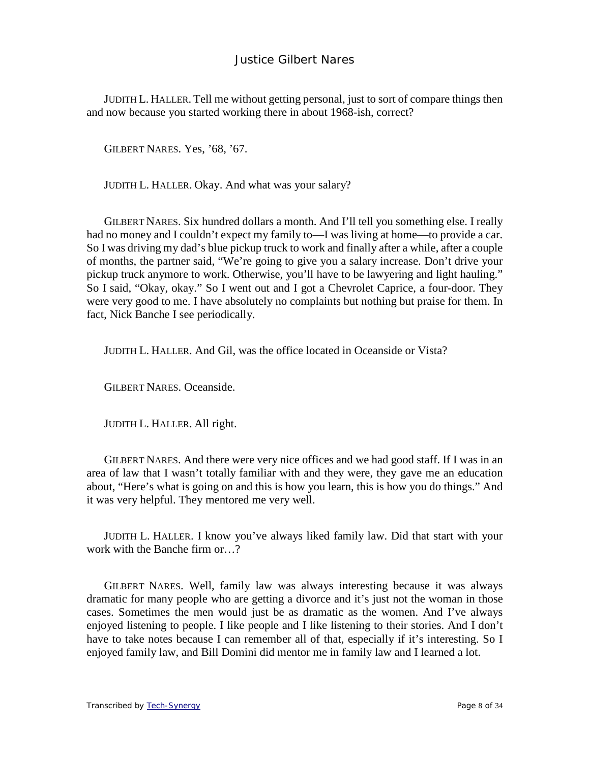JUDITH L. HALLER. Tell me without getting personal, just to sort of compare things then and now because you started working there in about 1968-ish, correct?

GILBERT NARES. Yes, '68, '67.

JUDITH L. HALLER. Okay. And what was your salary?

GILBERT NARES. Six hundred dollars a month. And I'll tell you something else. I really had no money and I couldn't expect my family to—I was living at home—to provide a car. So I was driving my dad's blue pickup truck to work and finally after a while, after a couple of months, the partner said, "We're going to give you a salary increase. Don't drive your pickup truck anymore to work. Otherwise, you'll have to be lawyering and light hauling." So I said, "Okay, okay." So I went out and I got a Chevrolet Caprice, a four-door. They were very good to me. I have absolutely no complaints but nothing but praise for them. In fact, Nick Banche I see periodically.

JUDITH L. HALLER. And Gil, was the office located in Oceanside or Vista?

GILBERT NARES. Oceanside.

JUDITH L. HALLER. All right.

GILBERT NARES. And there were very nice offices and we had good staff. If I was in an area of law that I wasn't totally familiar with and they were, they gave me an education about, "Here's what is going on and this is how you learn, this is how you do things." And it was very helpful. They mentored me very well.

JUDITH L. HALLER. I know you've always liked family law. Did that start with your work with the Banche firm or…?

GILBERT NARES. Well, family law was always interesting because it was always dramatic for many people who are getting a divorce and it's just not the woman in those cases. Sometimes the men would just be as dramatic as the women. And I've always enjoyed listening to people. I like people and I like listening to their stories. And I don't have to take notes because I can remember all of that, especially if it's interesting. So I enjoyed family law, and Bill Domini did mentor me in family law and I learned a lot.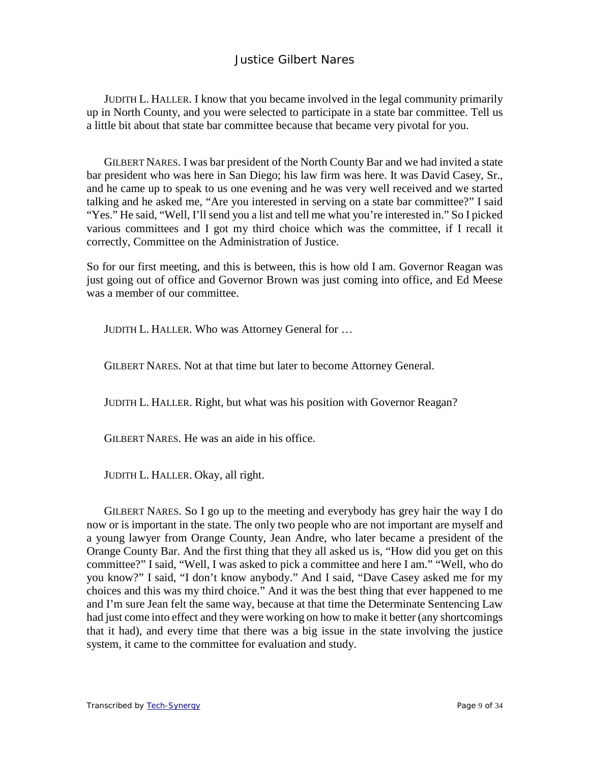JUDITH L. HALLER. I know that you became involved in the legal community primarily up in North County, and you were selected to participate in a state bar committee. Tell us a little bit about that state bar committee because that became very pivotal for you.

GILBERT NARES. I was bar president of the North County Bar and we had invited a state bar president who was here in San Diego; his law firm was here. It was David Casey, Sr., and he came up to speak to us one evening and he was very well received and we started talking and he asked me, "Are you interested in serving on a state bar committee?" I said "Yes." He said, "Well, I'll send you a list and tell me what you're interested in." So I picked various committees and I got my third choice which was the committee, if I recall it correctly, Committee on the Administration of Justice.

So for our first meeting, and this is between, this is how old I am. Governor Reagan was just going out of office and Governor Brown was just coming into office, and Ed Meese was a member of our committee.

JUDITH L. HALLER. Who was Attorney General for …

GILBERT NARES. Not at that time but later to become Attorney General.

JUDITH L. HALLER. Right, but what was his position with Governor Reagan?

GILBERT NARES. He was an aide in his office.

JUDITH L. HALLER. Okay, all right.

GILBERT NARES. So I go up to the meeting and everybody has grey hair the way I do now or is important in the state. The only two people who are not important are myself and a young lawyer from Orange County, Jean Andre, who later became a president of the Orange County Bar. And the first thing that they all asked us is, "How did you get on this committee?" I said, "Well, I was asked to pick a committee and here I am." "Well, who do you know?" I said, "I don't know anybody." And I said, "Dave Casey asked me for my choices and this was my third choice." And it was the best thing that ever happened to me and I'm sure Jean felt the same way, because at that time the Determinate Sentencing Law had just come into effect and they were working on how to make it better (any shortcomings that it had), and every time that there was a big issue in the state involving the justice system, it came to the committee for evaluation and study.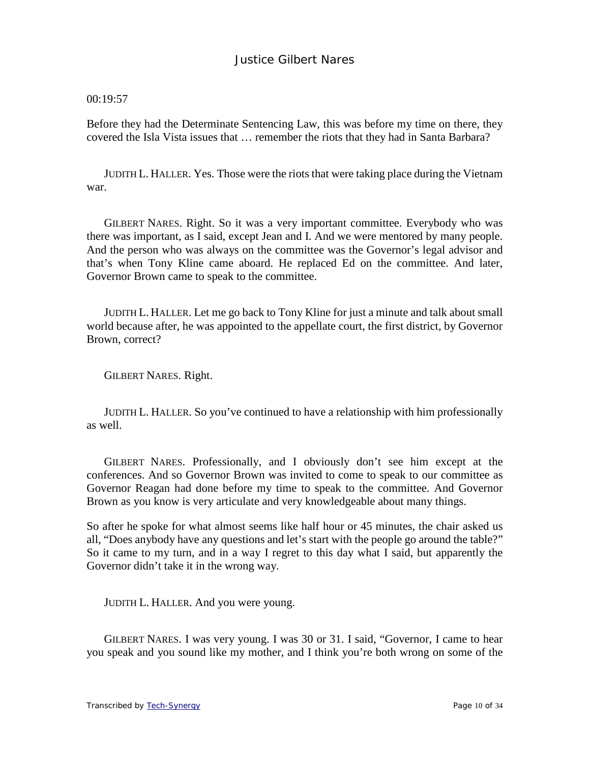00:19:57

Before they had the Determinate Sentencing Law, this was before my time on there, they covered the Isla Vista issues that … remember the riots that they had in Santa Barbara?

JUDITH L. HALLER. Yes. Those were the riots that were taking place during the Vietnam war.

GILBERT NARES. Right. So it was a very important committee. Everybody who was there was important, as I said, except Jean and I. And we were mentored by many people. And the person who was always on the committee was the Governor's legal advisor and that's when Tony Kline came aboard. He replaced Ed on the committee. And later, Governor Brown came to speak to the committee.

JUDITH L. HALLER. Let me go back to Tony Kline for just a minute and talk about small world because after, he was appointed to the appellate court, the first district, by Governor Brown, correct?

GILBERT NARES. Right.

JUDITH L. HALLER. So you've continued to have a relationship with him professionally as well.

GILBERT NARES. Professionally, and I obviously don't see him except at the conferences. And so Governor Brown was invited to come to speak to our committee as Governor Reagan had done before my time to speak to the committee. And Governor Brown as you know is very articulate and very knowledgeable about many things.

So after he spoke for what almost seems like half hour or 45 minutes, the chair asked us all, "Does anybody have any questions and let's start with the people go around the table?" So it came to my turn, and in a way I regret to this day what I said, but apparently the Governor didn't take it in the wrong way.

JUDITH L. HALLER. And you were young.

GILBERT NARES. I was very young. I was 30 or 31. I said, "Governor, I came to hear you speak and you sound like my mother, and I think you're both wrong on some of the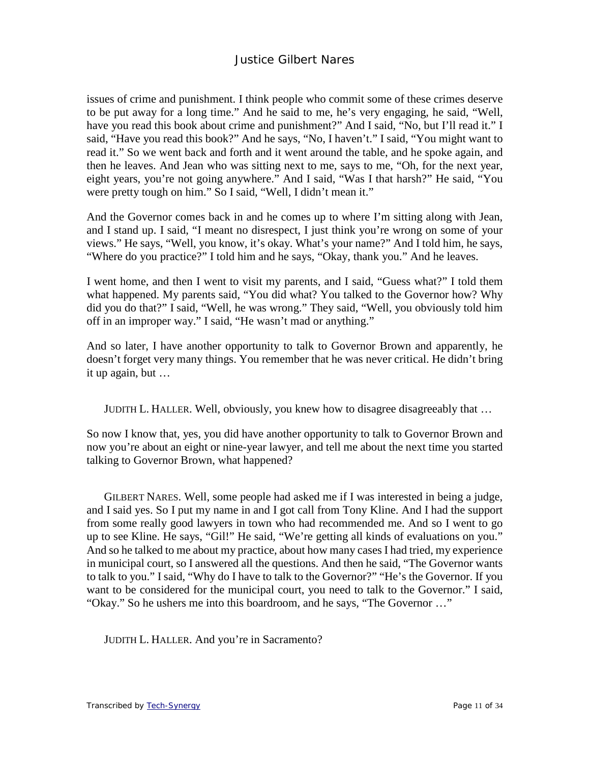issues of crime and punishment. I think people who commit some of these crimes deserve to be put away for a long time." And he said to me, he's very engaging, he said, "Well, have you read this book about crime and punishment?" And I said, "No, but I'll read it." I said, "Have you read this book?" And he says, "No, I haven't." I said, "You might want to read it." So we went back and forth and it went around the table, and he spoke again, and then he leaves. And Jean who was sitting next to me, says to me, "Oh, for the next year, eight years, you're not going anywhere." And I said, "Was I that harsh?" He said, "You were pretty tough on him." So I said, "Well, I didn't mean it."

And the Governor comes back in and he comes up to where I'm sitting along with Jean, and I stand up. I said, "I meant no disrespect, I just think you're wrong on some of your views." He says, "Well, you know, it's okay. What's your name?" And I told him, he says, "Where do you practice?" I told him and he says, "Okay, thank you." And he leaves.

I went home, and then I went to visit my parents, and I said, "Guess what?" I told them what happened. My parents said, "You did what? You talked to the Governor how? Why did you do that?" I said, "Well, he was wrong." They said, "Well, you obviously told him off in an improper way." I said, "He wasn't mad or anything."

And so later, I have another opportunity to talk to Governor Brown and apparently, he doesn't forget very many things. You remember that he was never critical. He didn't bring it up again, but …

JUDITH L. HALLER. Well, obviously, you knew how to disagree disagreeably that …

So now I know that, yes, you did have another opportunity to talk to Governor Brown and now you're about an eight or nine-year lawyer, and tell me about the next time you started talking to Governor Brown, what happened?

GILBERT NARES. Well, some people had asked me if I was interested in being a judge, and I said yes. So I put my name in and I got call from Tony Kline. And I had the support from some really good lawyers in town who had recommended me. And so I went to go up to see Kline. He says, "Gil!" He said, "We're getting all kinds of evaluations on you." And so he talked to me about my practice, about how many cases I had tried, my experience in municipal court, so I answered all the questions. And then he said, "The Governor wants to talk to you." I said, "Why do I have to talk to the Governor?" "He's the Governor. If you want to be considered for the municipal court, you need to talk to the Governor." I said, "Okay." So he ushers me into this boardroom, and he says, "The Governor …"

JUDITH L. HALLER. And you're in Sacramento?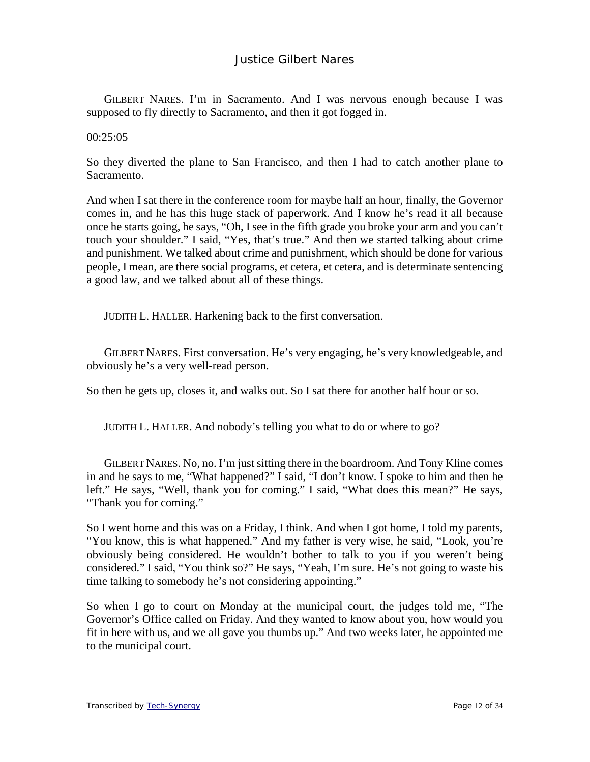GILBERT NARES. I'm in Sacramento. And I was nervous enough because I was supposed to fly directly to Sacramento, and then it got fogged in.

00:25:05

So they diverted the plane to San Francisco, and then I had to catch another plane to Sacramento.

And when I sat there in the conference room for maybe half an hour, finally, the Governor comes in, and he has this huge stack of paperwork. And I know he's read it all because once he starts going, he says, "Oh, I see in the fifth grade you broke your arm and you can't touch your shoulder." I said, "Yes, that's true." And then we started talking about crime and punishment. We talked about crime and punishment, which should be done for various people, I mean, are there social programs, et cetera, et cetera, and is determinate sentencing a good law, and we talked about all of these things.

JUDITH L. HALLER. Harkening back to the first conversation.

GILBERT NARES. First conversation. He's very engaging, he's very knowledgeable, and obviously he's a very well-read person.

So then he gets up, closes it, and walks out. So I sat there for another half hour or so.

JUDITH L. HALLER. And nobody's telling you what to do or where to go?

GILBERT NARES. No, no. I'm just sitting there in the boardroom. And Tony Kline comes in and he says to me, "What happened?" I said, "I don't know. I spoke to him and then he left." He says, "Well, thank you for coming." I said, "What does this mean?" He says, "Thank you for coming."

So I went home and this was on a Friday, I think. And when I got home, I told my parents, "You know, this is what happened." And my father is very wise, he said, "Look, you're obviously being considered. He wouldn't bother to talk to you if you weren't being considered." I said, "You think so?" He says, "Yeah, I'm sure. He's not going to waste his time talking to somebody he's not considering appointing."

So when I go to court on Monday at the municipal court, the judges told me, "The Governor's Office called on Friday. And they wanted to know about you, how would you fit in here with us, and we all gave you thumbs up." And two weeks later, he appointed me to the municipal court.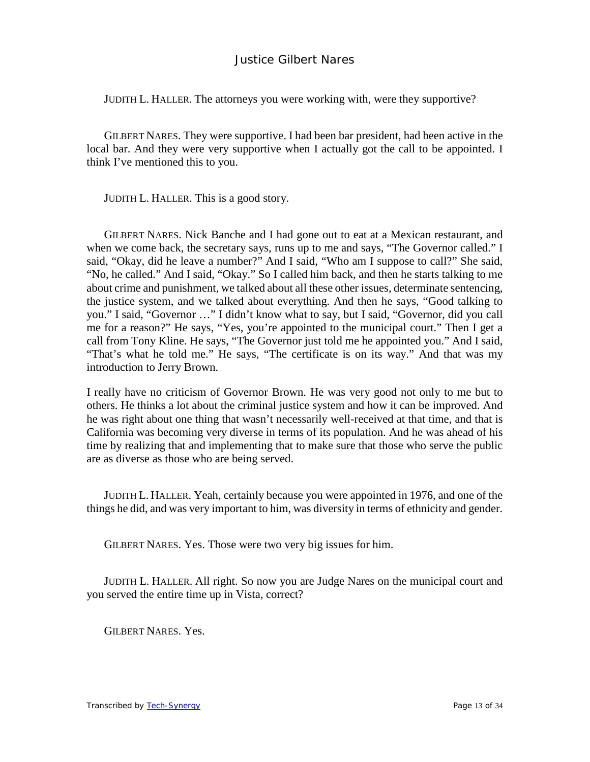JUDITH L. HALLER. The attorneys you were working with, were they supportive?

GILBERT NARES. They were supportive. I had been bar president, had been active in the local bar. And they were very supportive when I actually got the call to be appointed. I think I've mentioned this to you.

JUDITH L. HALLER. This is a good story.

GILBERT NARES. Nick Banche and I had gone out to eat at a Mexican restaurant, and when we come back, the secretary says, runs up to me and says, "The Governor called." I said, "Okay, did he leave a number?" And I said, "Who am I suppose to call?" She said, "No, he called." And I said, "Okay." So I called him back, and then he starts talking to me about crime and punishment, we talked about all these other issues, determinate sentencing, the justice system, and we talked about everything. And then he says, "Good talking to you." I said, "Governor …" I didn't know what to say, but I said, "Governor, did you call me for a reason?" He says, "Yes, you're appointed to the municipal court." Then I get a call from Tony Kline. He says, "The Governor just told me he appointed you." And I said, "That's what he told me." He says, "The certificate is on its way." And that was my introduction to Jerry Brown.

I really have no criticism of Governor Brown. He was very good not only to me but to others. He thinks a lot about the criminal justice system and how it can be improved. And he was right about one thing that wasn't necessarily well-received at that time, and that is California was becoming very diverse in terms of its population. And he was ahead of his time by realizing that and implementing that to make sure that those who serve the public are as diverse as those who are being served.

JUDITH L. HALLER. Yeah, certainly because you were appointed in 1976, and one of the things he did, and was very important to him, was diversity in terms of ethnicity and gender.

GILBERT NARES. Yes. Those were two very big issues for him.

JUDITH L. HALLER. All right. So now you are Judge Nares on the municipal court and you served the entire time up in Vista, correct?

GILBERT NARES. Yes.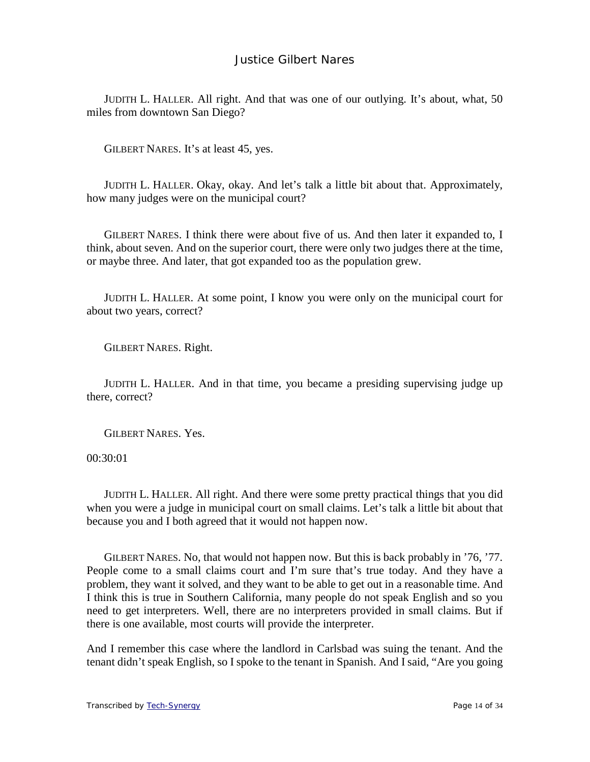JUDITH L. HALLER. All right. And that was one of our outlying. It's about, what, 50 miles from downtown San Diego?

GILBERT NARES. It's at least 45, yes.

JUDITH L. HALLER. Okay, okay. And let's talk a little bit about that. Approximately, how many judges were on the municipal court?

GILBERT NARES. I think there were about five of us. And then later it expanded to, I think, about seven. And on the superior court, there were only two judges there at the time, or maybe three. And later, that got expanded too as the population grew.

JUDITH L. HALLER. At some point, I know you were only on the municipal court for about two years, correct?

GILBERT NARES. Right.

JUDITH L. HALLER. And in that time, you became a presiding supervising judge up there, correct?

GILBERT NARES. Yes.

00:30:01

JUDITH L. HALLER. All right. And there were some pretty practical things that you did when you were a judge in municipal court on small claims. Let's talk a little bit about that because you and I both agreed that it would not happen now.

GILBERT NARES. No, that would not happen now. But this is back probably in '76, '77. People come to a small claims court and I'm sure that's true today. And they have a problem, they want it solved, and they want to be able to get out in a reasonable time. And I think this is true in Southern California, many people do not speak English and so you need to get interpreters. Well, there are no interpreters provided in small claims. But if there is one available, most courts will provide the interpreter.

And I remember this case where the landlord in Carlsbad was suing the tenant. And the tenant didn't speak English, so I spoke to the tenant in Spanish. And I said, "Are you going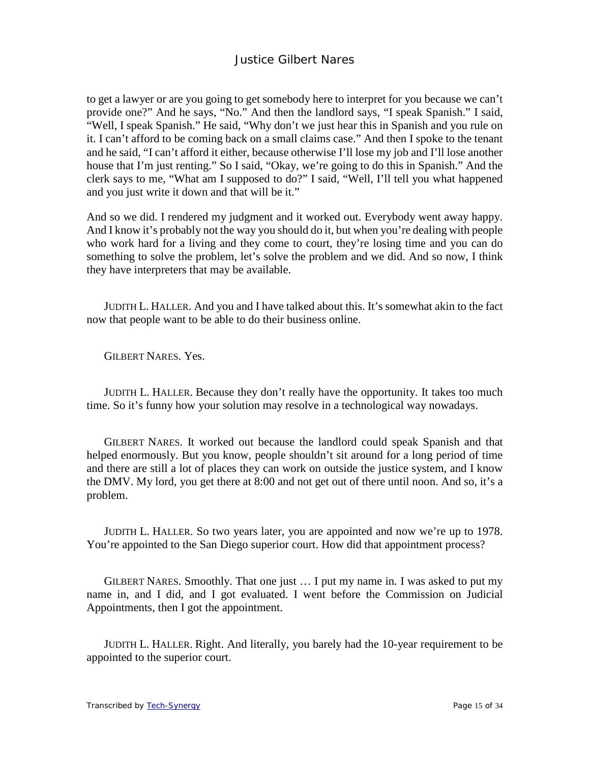to get a lawyer or are you going to get somebody here to interpret for you because we can't provide one?" And he says, "No." And then the landlord says, "I speak Spanish." I said, "Well, I speak Spanish." He said, "Why don't we just hear this in Spanish and you rule on it. I can't afford to be coming back on a small claims case." And then I spoke to the tenant and he said, "I can't afford it either, because otherwise I'll lose my job and I'll lose another house that I'm just renting." So I said, "Okay, we're going to do this in Spanish." And the clerk says to me, "What am I supposed to do?" I said, "Well, I'll tell you what happened and you just write it down and that will be it."

And so we did. I rendered my judgment and it worked out. Everybody went away happy. And I know it's probably not the way you should do it, but when you're dealing with people who work hard for a living and they come to court, they're losing time and you can do something to solve the problem, let's solve the problem and we did. And so now, I think they have interpreters that may be available.

JUDITH L. HALLER. And you and I have talked about this. It's somewhat akin to the fact now that people want to be able to do their business online.

GILBERT NARES. Yes.

JUDITH L. HALLER. Because they don't really have the opportunity. It takes too much time. So it's funny how your solution may resolve in a technological way nowadays.

GILBERT NARES. It worked out because the landlord could speak Spanish and that helped enormously. But you know, people shouldn't sit around for a long period of time and there are still a lot of places they can work on outside the justice system, and I know the DMV. My lord, you get there at 8:00 and not get out of there until noon. And so, it's a problem.

JUDITH L. HALLER. So two years later, you are appointed and now we're up to 1978. You're appointed to the San Diego superior court. How did that appointment process?

GILBERT NARES. Smoothly. That one just … I put my name in. I was asked to put my name in, and I did, and I got evaluated. I went before the Commission on Judicial Appointments, then I got the appointment.

JUDITH L. HALLER. Right. And literally, you barely had the 10-year requirement to be appointed to the superior court.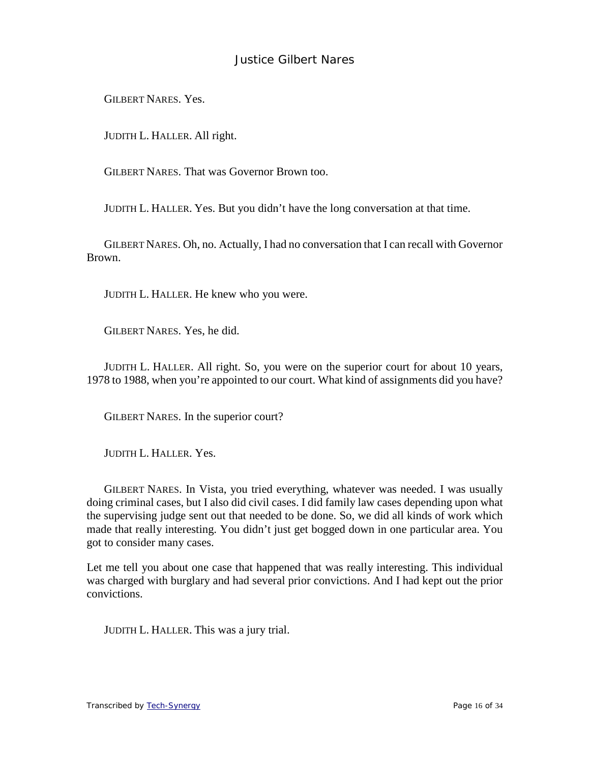GILBERT NARES. Yes.

JUDITH L. HALLER. All right.

GILBERT NARES. That was Governor Brown too.

JUDITH L. HALLER. Yes. But you didn't have the long conversation at that time.

GILBERT NARES. Oh, no. Actually, I had no conversation that I can recall with Governor Brown.

JUDITH L. HALLER. He knew who you were.

GILBERT NARES. Yes, he did.

JUDITH L. HALLER. All right. So, you were on the superior court for about 10 years, 1978 to 1988, when you're appointed to our court. What kind of assignments did you have?

GILBERT NARES. In the superior court?

JUDITH L. HALLER. Yes.

GILBERT NARES. In Vista, you tried everything, whatever was needed. I was usually doing criminal cases, but I also did civil cases. I did family law cases depending upon what the supervising judge sent out that needed to be done. So, we did all kinds of work which made that really interesting. You didn't just get bogged down in one particular area. You got to consider many cases.

Let me tell you about one case that happened that was really interesting. This individual was charged with burglary and had several prior convictions. And I had kept out the prior convictions.

JUDITH L. HALLER. This was a jury trial.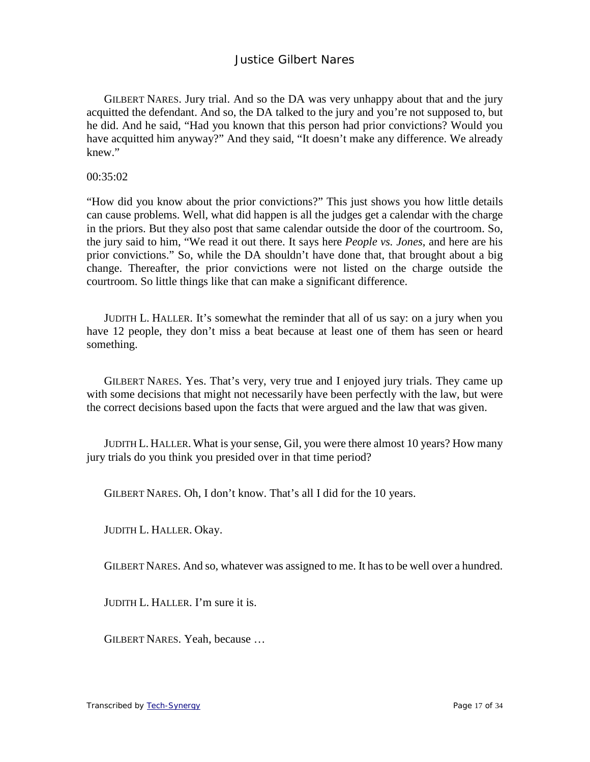GILBERT NARES. Jury trial. And so the DA was very unhappy about that and the jury acquitted the defendant. And so, the DA talked to the jury and you're not supposed to, but he did. And he said, "Had you known that this person had prior convictions? Would you have acquitted him anyway?" And they said, "It doesn't make any difference. We already knew."

00:35:02

"How did you know about the prior convictions?" This just shows you how little details can cause problems. Well, what did happen is all the judges get a calendar with the charge in the priors. But they also post that same calendar outside the door of the courtroom. So, the jury said to him, "We read it out there. It says here *People vs. Jones*, and here are his prior convictions." So, while the DA shouldn't have done that, that brought about a big change. Thereafter, the prior convictions were not listed on the charge outside the courtroom. So little things like that can make a significant difference.

JUDITH L. HALLER. It's somewhat the reminder that all of us say: on a jury when you have 12 people, they don't miss a beat because at least one of them has seen or heard something.

GILBERT NARES. Yes. That's very, very true and I enjoyed jury trials. They came up with some decisions that might not necessarily have been perfectly with the law, but were the correct decisions based upon the facts that were argued and the law that was given.

JUDITH L. HALLER. What is your sense, Gil, you were there almost 10 years? How many jury trials do you think you presided over in that time period?

GILBERT NARES. Oh, I don't know. That's all I did for the 10 years.

JUDITH L. HALLER. Okay.

GILBERT NARES. And so, whatever was assigned to me. It has to be well over a hundred.

JUDITH L. HALLER. I'm sure it is.

GILBERT NARES. Yeah, because …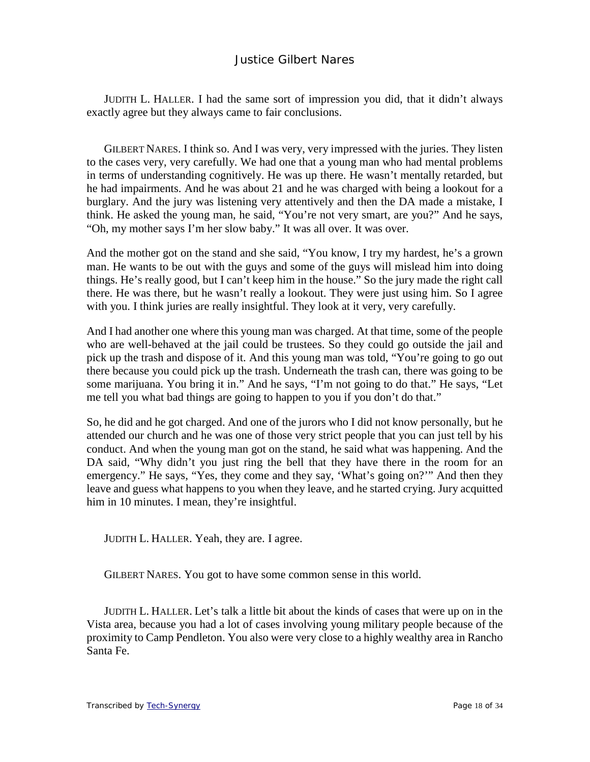JUDITH L. HALLER. I had the same sort of impression you did, that it didn't always exactly agree but they always came to fair conclusions.

GILBERT NARES. I think so. And I was very, very impressed with the juries. They listen to the cases very, very carefully. We had one that a young man who had mental problems in terms of understanding cognitively. He was up there. He wasn't mentally retarded, but he had impairments. And he was about 21 and he was charged with being a lookout for a burglary. And the jury was listening very attentively and then the DA made a mistake, I think. He asked the young man, he said, "You're not very smart, are you?" And he says, "Oh, my mother says I'm her slow baby." It was all over. It was over.

And the mother got on the stand and she said, "You know, I try my hardest, he's a grown man. He wants to be out with the guys and some of the guys will mislead him into doing things. He's really good, but I can't keep him in the house." So the jury made the right call there. He was there, but he wasn't really a lookout. They were just using him. So I agree with you. I think juries are really insightful. They look at it very, very carefully.

And I had another one where this young man was charged. At that time, some of the people who are well-behaved at the jail could be trustees. So they could go outside the jail and pick up the trash and dispose of it. And this young man was told, "You're going to go out there because you could pick up the trash. Underneath the trash can, there was going to be some marijuana. You bring it in." And he says, "I'm not going to do that." He says, "Let me tell you what bad things are going to happen to you if you don't do that."

So, he did and he got charged. And one of the jurors who I did not know personally, but he attended our church and he was one of those very strict people that you can just tell by his conduct. And when the young man got on the stand, he said what was happening. And the DA said, "Why didn't you just ring the bell that they have there in the room for an emergency." He says, "Yes, they come and they say, 'What's going on?"" And then they leave and guess what happens to you when they leave, and he started crying. Jury acquitted him in 10 minutes. I mean, they're insightful.

JUDITH L. HALLER. Yeah, they are. I agree.

GILBERT NARES. You got to have some common sense in this world.

JUDITH L. HALLER. Let's talk a little bit about the kinds of cases that were up on in the Vista area, because you had a lot of cases involving young military people because of the proximity to Camp Pendleton. You also were very close to a highly wealthy area in Rancho Santa Fe.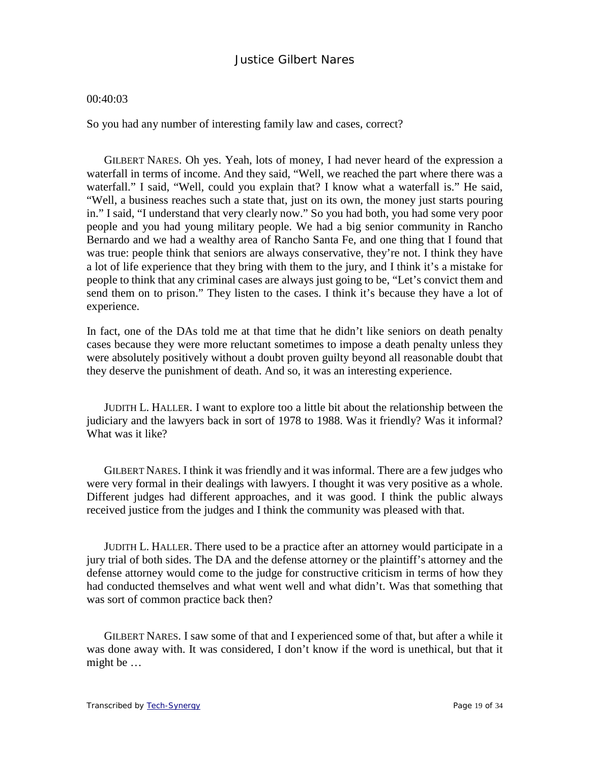#### 00:40:03

So you had any number of interesting family law and cases, correct?

GILBERT NARES. Oh yes. Yeah, lots of money, I had never heard of the expression a waterfall in terms of income. And they said, "Well, we reached the part where there was a waterfall." I said, "Well, could you explain that? I know what a waterfall is." He said, "Well, a business reaches such a state that, just on its own, the money just starts pouring in." I said, "I understand that very clearly now." So you had both, you had some very poor people and you had young military people. We had a big senior community in Rancho Bernardo and we had a wealthy area of Rancho Santa Fe, and one thing that I found that was true: people think that seniors are always conservative, they're not. I think they have a lot of life experience that they bring with them to the jury, and I think it's a mistake for people to think that any criminal cases are always just going to be, "Let's convict them and send them on to prison." They listen to the cases. I think it's because they have a lot of experience.

In fact, one of the DAs told me at that time that he didn't like seniors on death penalty cases because they were more reluctant sometimes to impose a death penalty unless they were absolutely positively without a doubt proven guilty beyond all reasonable doubt that they deserve the punishment of death. And so, it was an interesting experience.

JUDITH L. HALLER. I want to explore too a little bit about the relationship between the judiciary and the lawyers back in sort of 1978 to 1988. Was it friendly? Was it informal? What was it like?

GILBERT NARES. I think it was friendly and it was informal. There are a few judges who were very formal in their dealings with lawyers. I thought it was very positive as a whole. Different judges had different approaches, and it was good. I think the public always received justice from the judges and I think the community was pleased with that.

JUDITH L. HALLER. There used to be a practice after an attorney would participate in a jury trial of both sides. The DA and the defense attorney or the plaintiff's attorney and the defense attorney would come to the judge for constructive criticism in terms of how they had conducted themselves and what went well and what didn't. Was that something that was sort of common practice back then?

GILBERT NARES. I saw some of that and I experienced some of that, but after a while it was done away with. It was considered, I don't know if the word is unethical, but that it might be …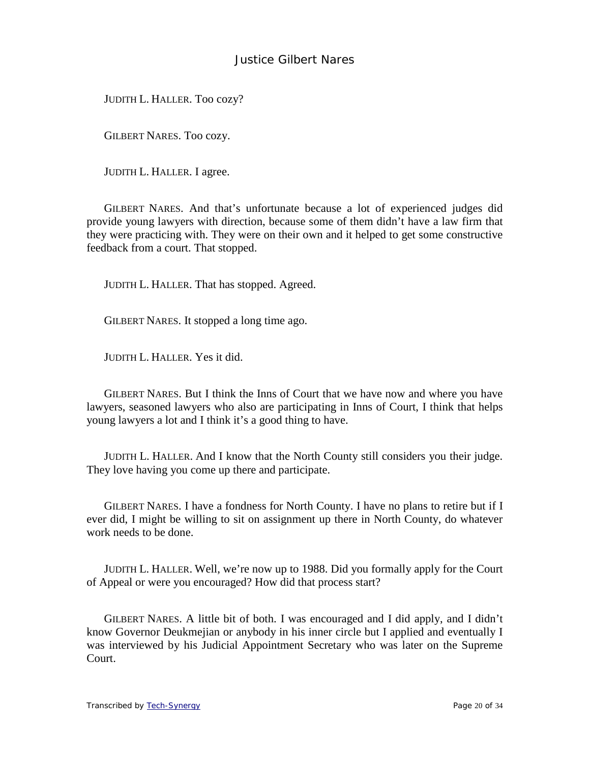JUDITH L. HALLER. Too cozy?

GILBERT NARES. Too cozy.

JUDITH L. HALLER. I agree.

GILBERT NARES. And that's unfortunate because a lot of experienced judges did provide young lawyers with direction, because some of them didn't have a law firm that they were practicing with. They were on their own and it helped to get some constructive feedback from a court. That stopped.

JUDITH L. HALLER. That has stopped. Agreed.

GILBERT NARES. It stopped a long time ago.

JUDITH L. HALLER. Yes it did.

GILBERT NARES. But I think the Inns of Court that we have now and where you have lawyers, seasoned lawyers who also are participating in Inns of Court, I think that helps young lawyers a lot and I think it's a good thing to have.

JUDITH L. HALLER. And I know that the North County still considers you their judge. They love having you come up there and participate.

GILBERT NARES. I have a fondness for North County. I have no plans to retire but if I ever did, I might be willing to sit on assignment up there in North County, do whatever work needs to be done.

JUDITH L. HALLER. Well, we're now up to 1988. Did you formally apply for the Court of Appeal or were you encouraged? How did that process start?

GILBERT NARES. A little bit of both. I was encouraged and I did apply, and I didn't know Governor Deukmejian or anybody in his inner circle but I applied and eventually I was interviewed by his Judicial Appointment Secretary who was later on the Supreme Court.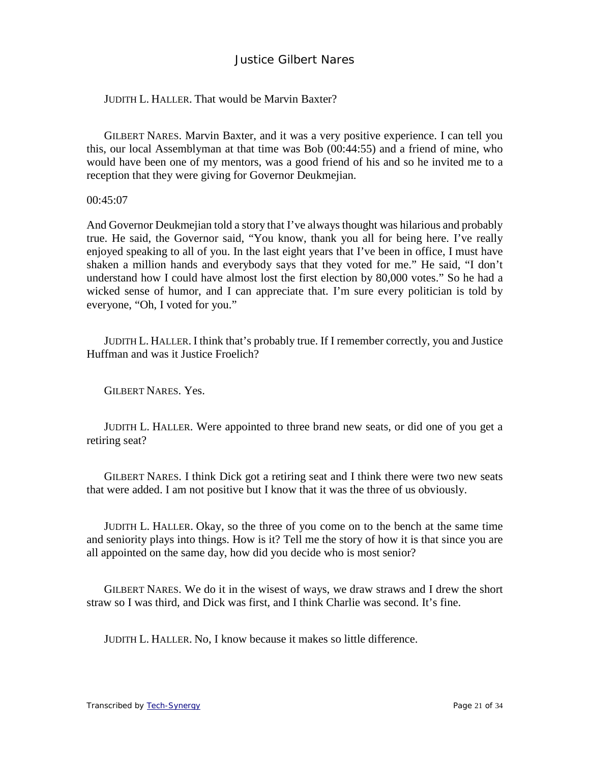#### JUDITH L. HALLER. That would be Marvin Baxter?

GILBERT NARES. Marvin Baxter, and it was a very positive experience. I can tell you this, our local Assemblyman at that time was Bob (00:44:55) and a friend of mine, who would have been one of my mentors, was a good friend of his and so he invited me to a reception that they were giving for Governor Deukmejian.

00:45:07

And Governor Deukmejian told a story that I've always thought was hilarious and probably true. He said, the Governor said, "You know, thank you all for being here. I've really enjoyed speaking to all of you. In the last eight years that I've been in office, I must have shaken a million hands and everybody says that they voted for me." He said, "I don't understand how I could have almost lost the first election by 80,000 votes." So he had a wicked sense of humor, and I can appreciate that. I'm sure every politician is told by everyone, "Oh, I voted for you."

JUDITH L. HALLER. I think that's probably true. If I remember correctly, you and Justice Huffman and was it Justice Froelich?

GILBERT NARES. Yes.

JUDITH L. HALLER. Were appointed to three brand new seats, or did one of you get a retiring seat?

GILBERT NARES. I think Dick got a retiring seat and I think there were two new seats that were added. I am not positive but I know that it was the three of us obviously.

JUDITH L. HALLER. Okay, so the three of you come on to the bench at the same time and seniority plays into things. How is it? Tell me the story of how it is that since you are all appointed on the same day, how did you decide who is most senior?

GILBERT NARES. We do it in the wisest of ways, we draw straws and I drew the short straw so I was third, and Dick was first, and I think Charlie was second. It's fine.

JUDITH L. HALLER. No, I know because it makes so little difference.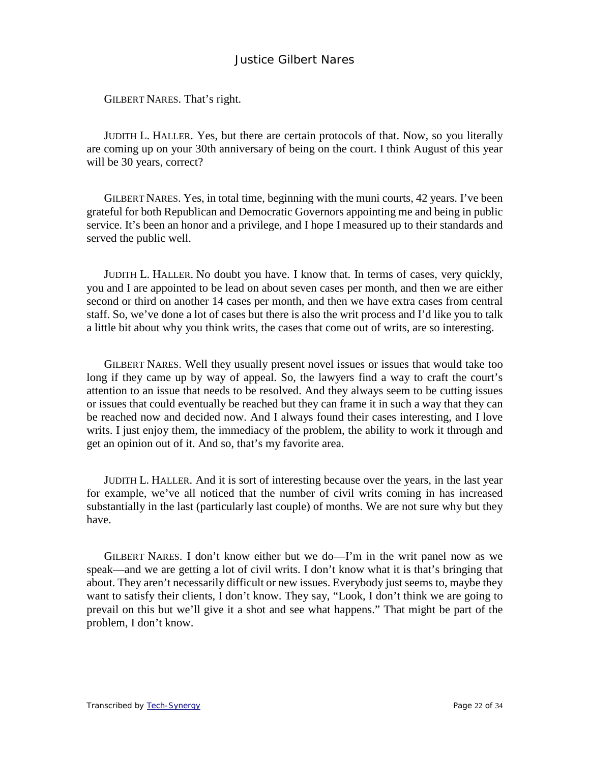GILBERT NARES. That's right.

JUDITH L. HALLER. Yes, but there are certain protocols of that. Now, so you literally are coming up on your 30th anniversary of being on the court. I think August of this year will be 30 years, correct?

GILBERT NARES. Yes, in total time, beginning with the muni courts, 42 years. I've been grateful for both Republican and Democratic Governors appointing me and being in public service. It's been an honor and a privilege, and I hope I measured up to their standards and served the public well.

JUDITH L. HALLER. No doubt you have. I know that. In terms of cases, very quickly, you and I are appointed to be lead on about seven cases per month, and then we are either second or third on another 14 cases per month, and then we have extra cases from central staff. So, we've done a lot of cases but there is also the writ process and I'd like you to talk a little bit about why you think writs, the cases that come out of writs, are so interesting.

GILBERT NARES. Well they usually present novel issues or issues that would take too long if they came up by way of appeal. So, the lawyers find a way to craft the court's attention to an issue that needs to be resolved. And they always seem to be cutting issues or issues that could eventually be reached but they can frame it in such a way that they can be reached now and decided now. And I always found their cases interesting, and I love writs. I just enjoy them, the immediacy of the problem, the ability to work it through and get an opinion out of it. And so, that's my favorite area.

JUDITH L. HALLER. And it is sort of interesting because over the years, in the last year for example, we've all noticed that the number of civil writs coming in has increased substantially in the last (particularly last couple) of months. We are not sure why but they have.

GILBERT NARES. I don't know either but we do—I'm in the writ panel now as we speak—and we are getting a lot of civil writs. I don't know what it is that's bringing that about. They aren't necessarily difficult or new issues. Everybody just seems to, maybe they want to satisfy their clients, I don't know. They say, "Look, I don't think we are going to prevail on this but we'll give it a shot and see what happens." That might be part of the problem, I don't know.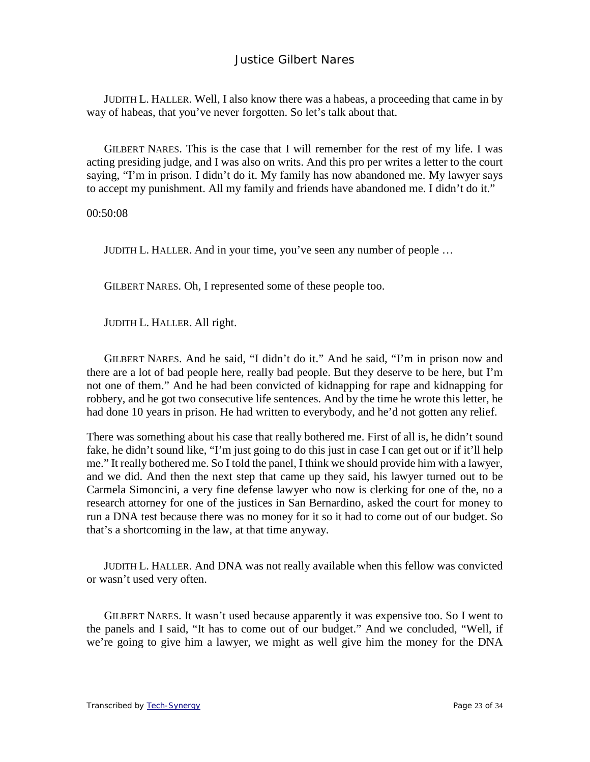JUDITH L. HALLER. Well, I also know there was a habeas, a proceeding that came in by way of habeas, that you've never forgotten. So let's talk about that.

GILBERT NARES. This is the case that I will remember for the rest of my life. I was acting presiding judge, and I was also on writs. And this pro per writes a letter to the court saying, "I'm in prison. I didn't do it. My family has now abandoned me. My lawyer says to accept my punishment. All my family and friends have abandoned me. I didn't do it."

00:50:08

JUDITH L. HALLER. And in your time, you've seen any number of people …

GILBERT NARES. Oh, I represented some of these people too.

JUDITH L. HALLER. All right.

GILBERT NARES. And he said, "I didn't do it." And he said, "I'm in prison now and there are a lot of bad people here, really bad people. But they deserve to be here, but I'm not one of them." And he had been convicted of kidnapping for rape and kidnapping for robbery, and he got two consecutive life sentences. And by the time he wrote this letter, he had done 10 years in prison. He had written to everybody, and he'd not gotten any relief.

There was something about his case that really bothered me. First of all is, he didn't sound fake, he didn't sound like, "I'm just going to do this just in case I can get out or if it'll help me." It really bothered me. So I told the panel, I think we should provide him with a lawyer, and we did. And then the next step that came up they said, his lawyer turned out to be Carmela Simoncini, a very fine defense lawyer who now is clerking for one of the, no a research attorney for one of the justices in San Bernardino, asked the court for money to run a DNA test because there was no money for it so it had to come out of our budget. So that's a shortcoming in the law, at that time anyway.

JUDITH L. HALLER. And DNA was not really available when this fellow was convicted or wasn't used very often.

GILBERT NARES. It wasn't used because apparently it was expensive too. So I went to the panels and I said, "It has to come out of our budget." And we concluded, "Well, if we're going to give him a lawyer, we might as well give him the money for the DNA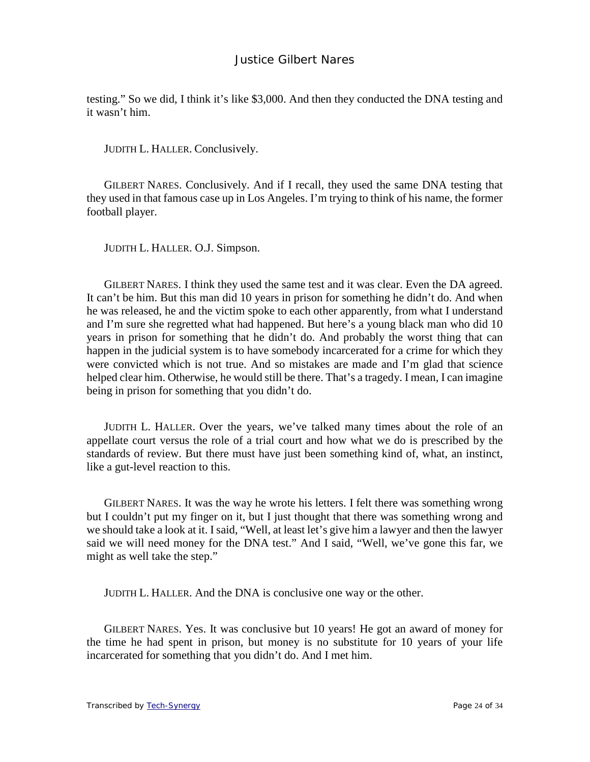testing." So we did, I think it's like \$3,000. And then they conducted the DNA testing and it wasn't him.

JUDITH L. HALLER. Conclusively.

GILBERT NARES. Conclusively. And if I recall, they used the same DNA testing that they used in that famous case up in Los Angeles. I'm trying to think of his name, the former football player.

JUDITH L. HALLER. O.J. Simpson.

GILBERT NARES. I think they used the same test and it was clear. Even the DA agreed. It can't be him. But this man did 10 years in prison for something he didn't do. And when he was released, he and the victim spoke to each other apparently, from what I understand and I'm sure she regretted what had happened. But here's a young black man who did 10 years in prison for something that he didn't do. And probably the worst thing that can happen in the judicial system is to have somebody incarcerated for a crime for which they were convicted which is not true. And so mistakes are made and I'm glad that science helped clear him. Otherwise, he would still be there. That's a tragedy. I mean, I can imagine being in prison for something that you didn't do.

JUDITH L. HALLER. Over the years, we've talked many times about the role of an appellate court versus the role of a trial court and how what we do is prescribed by the standards of review. But there must have just been something kind of, what, an instinct, like a gut-level reaction to this.

GILBERT NARES. It was the way he wrote his letters. I felt there was something wrong but I couldn't put my finger on it, but I just thought that there was something wrong and we should take a look at it. I said, "Well, at least let's give him a lawyer and then the lawyer said we will need money for the DNA test." And I said, "Well, we've gone this far, we might as well take the step."

JUDITH L. HALLER. And the DNA is conclusive one way or the other.

GILBERT NARES. Yes. It was conclusive but 10 years! He got an award of money for the time he had spent in prison, but money is no substitute for 10 years of your life incarcerated for something that you didn't do. And I met him.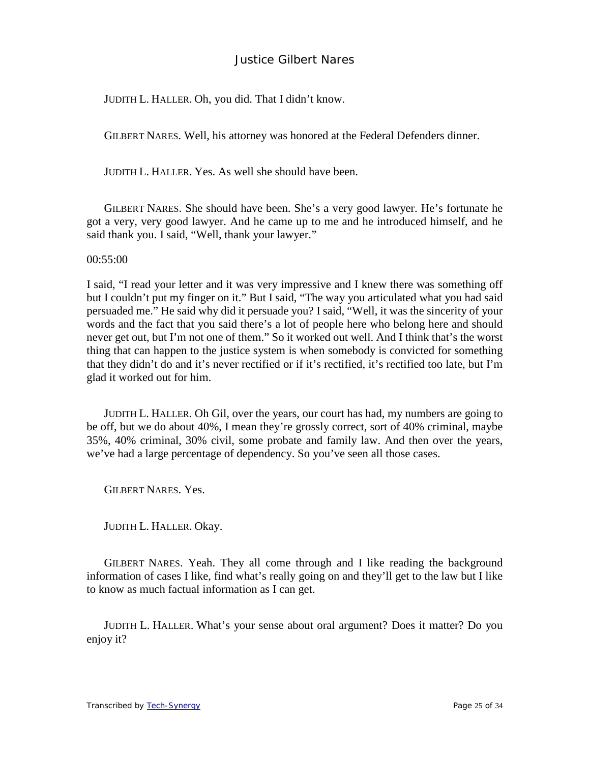JUDITH L. HALLER. Oh, you did. That I didn't know.

GILBERT NARES. Well, his attorney was honored at the Federal Defenders dinner.

JUDITH L. HALLER. Yes. As well she should have been.

GILBERT NARES. She should have been. She's a very good lawyer. He's fortunate he got a very, very good lawyer. And he came up to me and he introduced himself, and he said thank you. I said, "Well, thank your lawyer."

00:55:00

I said, "I read your letter and it was very impressive and I knew there was something off but I couldn't put my finger on it." But I said, "The way you articulated what you had said persuaded me." He said why did it persuade you? I said, "Well, it was the sincerity of your words and the fact that you said there's a lot of people here who belong here and should never get out, but I'm not one of them." So it worked out well. And I think that's the worst thing that can happen to the justice system is when somebody is convicted for something that they didn't do and it's never rectified or if it's rectified, it's rectified too late, but I'm glad it worked out for him.

JUDITH L. HALLER. Oh Gil, over the years, our court has had, my numbers are going to be off, but we do about 40%, I mean they're grossly correct, sort of 40% criminal, maybe 35%, 40% criminal, 30% civil, some probate and family law. And then over the years, we've had a large percentage of dependency. So you've seen all those cases.

GILBERT NARES. Yes.

JUDITH L. HALLER. Okay.

GILBERT NARES. Yeah. They all come through and I like reading the background information of cases I like, find what's really going on and they'll get to the law but I like to know as much factual information as I can get.

JUDITH L. HALLER. What's your sense about oral argument? Does it matter? Do you enjoy it?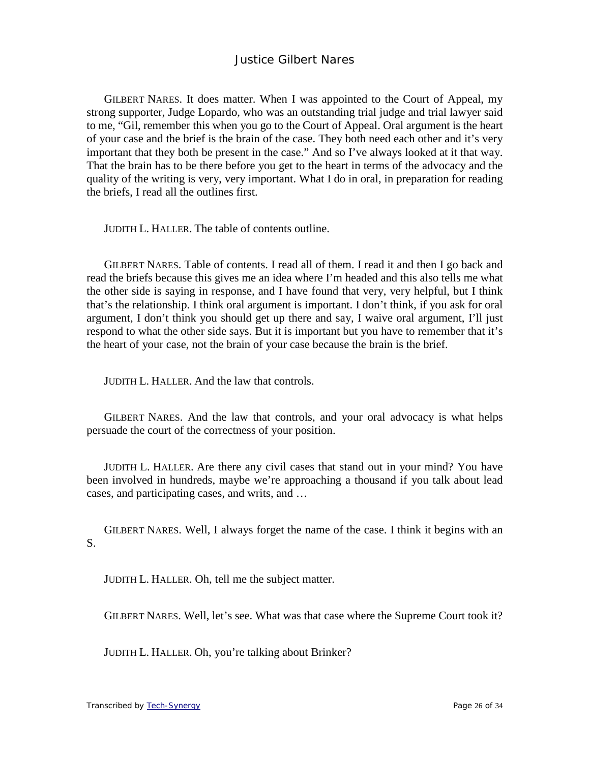GILBERT NARES. It does matter. When I was appointed to the Court of Appeal, my strong supporter, Judge Lopardo, who was an outstanding trial judge and trial lawyer said to me, "Gil, remember this when you go to the Court of Appeal. Oral argument is the heart of your case and the brief is the brain of the case. They both need each other and it's very important that they both be present in the case." And so I've always looked at it that way. That the brain has to be there before you get to the heart in terms of the advocacy and the quality of the writing is very, very important. What I do in oral, in preparation for reading the briefs, I read all the outlines first.

JUDITH L. HALLER. The table of contents outline.

GILBERT NARES. Table of contents. I read all of them. I read it and then I go back and read the briefs because this gives me an idea where I'm headed and this also tells me what the other side is saying in response, and I have found that very, very helpful, but I think that's the relationship. I think oral argument is important. I don't think, if you ask for oral argument, I don't think you should get up there and say, I waive oral argument, I'll just respond to what the other side says. But it is important but you have to remember that it's the heart of your case, not the brain of your case because the brain is the brief.

JUDITH L. HALLER. And the law that controls.

GILBERT NARES. And the law that controls, and your oral advocacy is what helps persuade the court of the correctness of your position.

JUDITH L. HALLER. Are there any civil cases that stand out in your mind? You have been involved in hundreds, maybe we're approaching a thousand if you talk about lead cases, and participating cases, and writs, and …

GILBERT NARES. Well, I always forget the name of the case. I think it begins with an S.

JUDITH L. HALLER. Oh, tell me the subject matter.

GILBERT NARES. Well, let's see. What was that case where the Supreme Court took it?

JUDITH L. HALLER. Oh, you're talking about Brinker?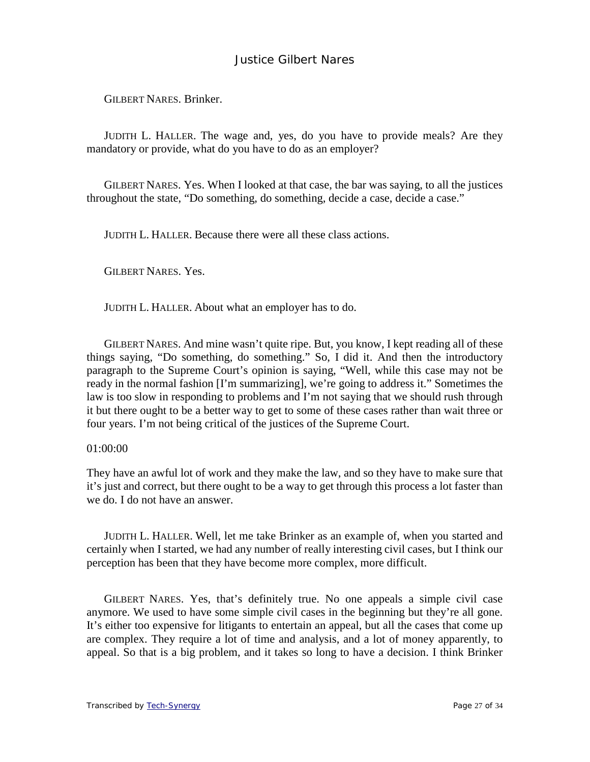GILBERT NARES. Brinker.

JUDITH L. HALLER. The wage and, yes, do you have to provide meals? Are they mandatory or provide, what do you have to do as an employer?

GILBERT NARES. Yes. When I looked at that case, the bar was saying, to all the justices throughout the state, "Do something, do something, decide a case, decide a case."

JUDITH L. HALLER. Because there were all these class actions.

GILBERT NARES. Yes.

JUDITH L. HALLER. About what an employer has to do.

GILBERT NARES. And mine wasn't quite ripe. But, you know, I kept reading all of these things saying, "Do something, do something." So, I did it. And then the introductory paragraph to the Supreme Court's opinion is saying, "Well, while this case may not be ready in the normal fashion [I'm summarizing], we're going to address it." Sometimes the law is too slow in responding to problems and I'm not saying that we should rush through it but there ought to be a better way to get to some of these cases rather than wait three or four years. I'm not being critical of the justices of the Supreme Court.

#### 01:00:00

They have an awful lot of work and they make the law, and so they have to make sure that it's just and correct, but there ought to be a way to get through this process a lot faster than we do. I do not have an answer.

JUDITH L. HALLER. Well, let me take Brinker as an example of, when you started and certainly when I started, we had any number of really interesting civil cases, but I think our perception has been that they have become more complex, more difficult.

GILBERT NARES. Yes, that's definitely true. No one appeals a simple civil case anymore. We used to have some simple civil cases in the beginning but they're all gone. It's either too expensive for litigants to entertain an appeal, but all the cases that come up are complex. They require a lot of time and analysis, and a lot of money apparently, to appeal. So that is a big problem, and it takes so long to have a decision. I think Brinker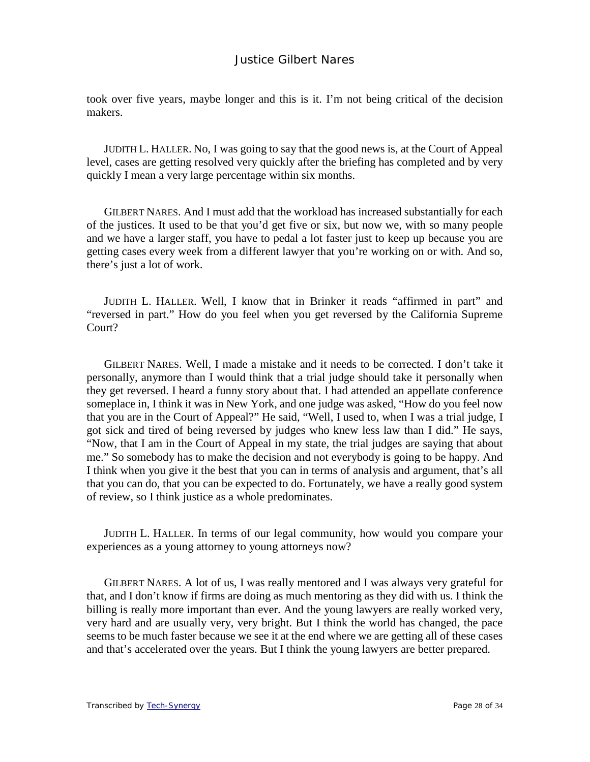took over five years, maybe longer and this is it. I'm not being critical of the decision makers.

JUDITH L. HALLER. No, I was going to say that the good news is, at the Court of Appeal level, cases are getting resolved very quickly after the briefing has completed and by very quickly I mean a very large percentage within six months.

GILBERT NARES. And I must add that the workload has increased substantially for each of the justices. It used to be that you'd get five or six, but now we, with so many people and we have a larger staff, you have to pedal a lot faster just to keep up because you are getting cases every week from a different lawyer that you're working on or with. And so, there's just a lot of work.

JUDITH L. HALLER. Well, I know that in Brinker it reads "affirmed in part" and "reversed in part." How do you feel when you get reversed by the California Supreme Court?

GILBERT NARES. Well, I made a mistake and it needs to be corrected. I don't take it personally, anymore than I would think that a trial judge should take it personally when they get reversed. I heard a funny story about that. I had attended an appellate conference someplace in, I think it was in New York, and one judge was asked, "How do you feel now that you are in the Court of Appeal?" He said, "Well, I used to, when I was a trial judge, I got sick and tired of being reversed by judges who knew less law than I did." He says, "Now, that I am in the Court of Appeal in my state, the trial judges are saying that about me." So somebody has to make the decision and not everybody is going to be happy. And I think when you give it the best that you can in terms of analysis and argument, that's all that you can do, that you can be expected to do. Fortunately, we have a really good system of review, so I think justice as a whole predominates.

JUDITH L. HALLER. In terms of our legal community, how would you compare your experiences as a young attorney to young attorneys now?

GILBERT NARES. A lot of us, I was really mentored and I was always very grateful for that, and I don't know if firms are doing as much mentoring as they did with us. I think the billing is really more important than ever. And the young lawyers are really worked very, very hard and are usually very, very bright. But I think the world has changed, the pace seems to be much faster because we see it at the end where we are getting all of these cases and that's accelerated over the years. But I think the young lawyers are better prepared.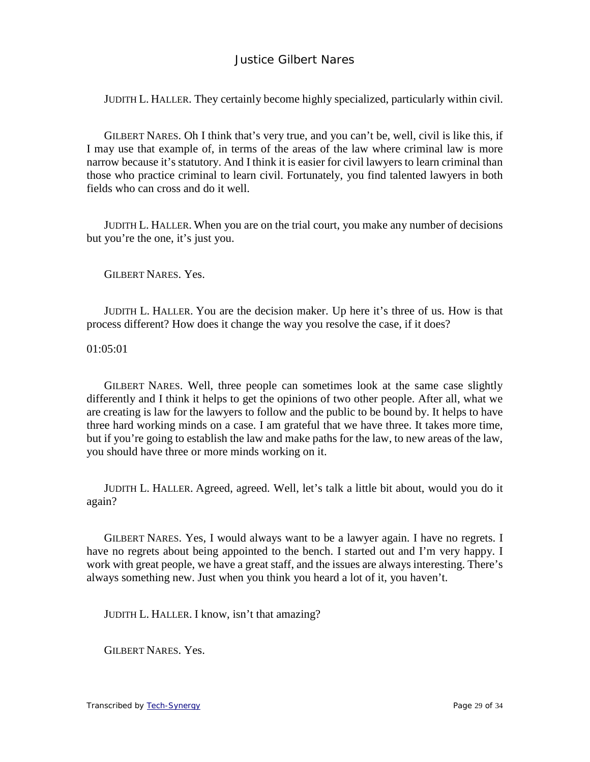JUDITH L. HALLER. They certainly become highly specialized, particularly within civil.

GILBERT NARES. Oh I think that's very true, and you can't be, well, civil is like this, if I may use that example of, in terms of the areas of the law where criminal law is more narrow because it's statutory. And I think it is easier for civil lawyers to learn criminal than those who practice criminal to learn civil. Fortunately, you find talented lawyers in both fields who can cross and do it well.

JUDITH L. HALLER. When you are on the trial court, you make any number of decisions but you're the one, it's just you.

GILBERT NARES. Yes.

JUDITH L. HALLER. You are the decision maker. Up here it's three of us. How is that process different? How does it change the way you resolve the case, if it does?

01:05:01

GILBERT NARES. Well, three people can sometimes look at the same case slightly differently and I think it helps to get the opinions of two other people. After all, what we are creating is law for the lawyers to follow and the public to be bound by. It helps to have three hard working minds on a case. I am grateful that we have three. It takes more time, but if you're going to establish the law and make paths for the law, to new areas of the law, you should have three or more minds working on it.

JUDITH L. HALLER. Agreed, agreed. Well, let's talk a little bit about, would you do it again?

GILBERT NARES. Yes, I would always want to be a lawyer again. I have no regrets. I have no regrets about being appointed to the bench. I started out and I'm very happy. I work with great people, we have a great staff, and the issues are always interesting. There's always something new. Just when you think you heard a lot of it, you haven't.

JUDITH L. HALLER. I know, isn't that amazing?

GILBERT NARES. Yes.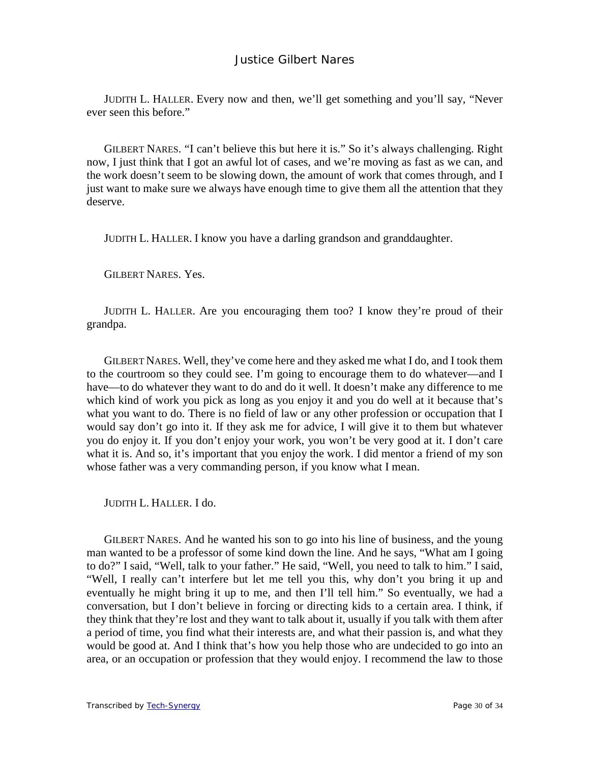JUDITH L. HALLER. Every now and then, we'll get something and you'll say, "Never ever seen this before."

GILBERT NARES. "I can't believe this but here it is." So it's always challenging. Right now, I just think that I got an awful lot of cases, and we're moving as fast as we can, and the work doesn't seem to be slowing down, the amount of work that comes through, and I just want to make sure we always have enough time to give them all the attention that they deserve.

JUDITH L. HALLER. I know you have a darling grandson and granddaughter.

GILBERT NARES. Yes.

JUDITH L. HALLER. Are you encouraging them too? I know they're proud of their grandpa.

GILBERT NARES. Well, they've come here and they asked me what I do, and I took them to the courtroom so they could see. I'm going to encourage them to do whatever—and I have—to do whatever they want to do and do it well. It doesn't make any difference to me which kind of work you pick as long as you enjoy it and you do well at it because that's what you want to do. There is no field of law or any other profession or occupation that I would say don't go into it. If they ask me for advice, I will give it to them but whatever you do enjoy it. If you don't enjoy your work, you won't be very good at it. I don't care what it is. And so, it's important that you enjoy the work. I did mentor a friend of my son whose father was a very commanding person, if you know what I mean.

JUDITH L. HALLER. I do.

GILBERT NARES. And he wanted his son to go into his line of business, and the young man wanted to be a professor of some kind down the line. And he says, "What am I going to do?" I said, "Well, talk to your father." He said, "Well, you need to talk to him." I said, "Well, I really can't interfere but let me tell you this, why don't you bring it up and eventually he might bring it up to me, and then I'll tell him." So eventually, we had a conversation, but I don't believe in forcing or directing kids to a certain area. I think, if they think that they're lost and they want to talk about it, usually if you talk with them after a period of time, you find what their interests are, and what their passion is, and what they would be good at. And I think that's how you help those who are undecided to go into an area, or an occupation or profession that they would enjoy. I recommend the law to those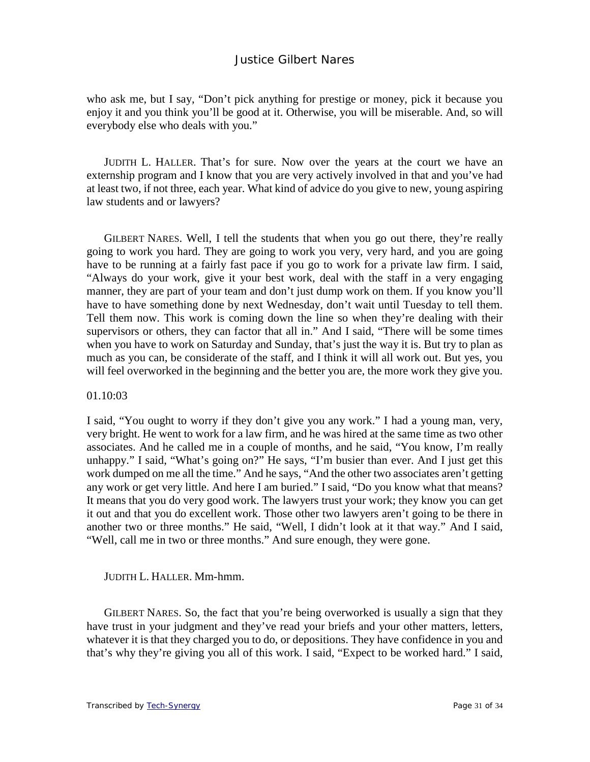who ask me, but I say, "Don't pick anything for prestige or money, pick it because you enjoy it and you think you'll be good at it. Otherwise, you will be miserable. And, so will everybody else who deals with you."

JUDITH L. HALLER. That's for sure. Now over the years at the court we have an externship program and I know that you are very actively involved in that and you've had at least two, if not three, each year. What kind of advice do you give to new, young aspiring law students and or lawyers?

GILBERT NARES. Well, I tell the students that when you go out there, they're really going to work you hard. They are going to work you very, very hard, and you are going have to be running at a fairly fast pace if you go to work for a private law firm. I said, "Always do your work, give it your best work, deal with the staff in a very engaging manner, they are part of your team and don't just dump work on them. If you know you'll have to have something done by next Wednesday, don't wait until Tuesday to tell them. Tell them now. This work is coming down the line so when they're dealing with their supervisors or others, they can factor that all in." And I said, "There will be some times when you have to work on Saturday and Sunday, that's just the way it is. But try to plan as much as you can, be considerate of the staff, and I think it will all work out. But yes, you will feel overworked in the beginning and the better you are, the more work they give you.

#### 01.10:03

I said, "You ought to worry if they don't give you any work." I had a young man, very, very bright. He went to work for a law firm, and he was hired at the same time as two other associates. And he called me in a couple of months, and he said, "You know, I'm really unhappy." I said, "What's going on?" He says, "I'm busier than ever. And I just get this work dumped on me all the time." And he says, "And the other two associates aren't getting any work or get very little. And here I am buried." I said, "Do you know what that means? It means that you do very good work. The lawyers trust your work; they know you can get it out and that you do excellent work. Those other two lawyers aren't going to be there in another two or three months." He said, "Well, I didn't look at it that way." And I said, "Well, call me in two or three months." And sure enough, they were gone.

#### JUDITH L. HALLER. Mm-hmm.

GILBERT NARES. So, the fact that you're being overworked is usually a sign that they have trust in your judgment and they've read your briefs and your other matters, letters, whatever it is that they charged you to do, or depositions. They have confidence in you and that's why they're giving you all of this work. I said, "Expect to be worked hard." I said,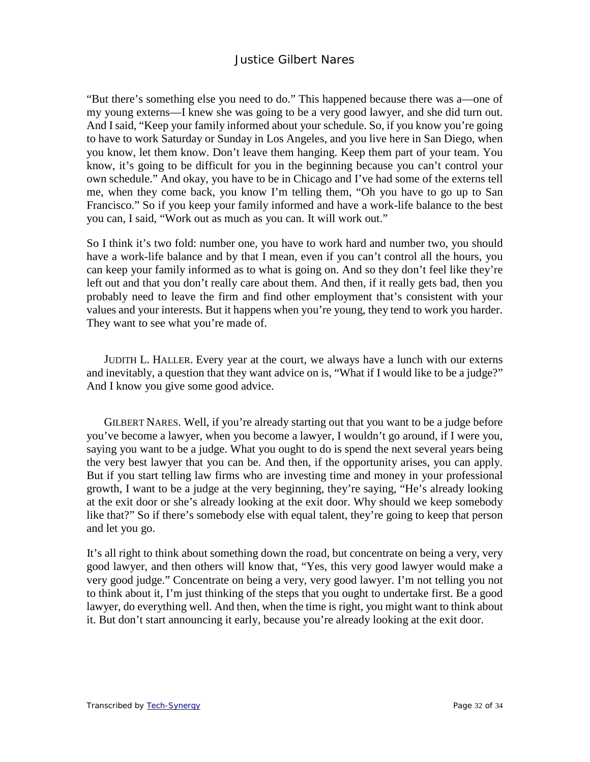"But there's something else you need to do." This happened because there was a—one of my young externs—I knew she was going to be a very good lawyer, and she did turn out. And I said, "Keep your family informed about your schedule. So, if you know you're going to have to work Saturday or Sunday in Los Angeles, and you live here in San Diego, when you know, let them know. Don't leave them hanging. Keep them part of your team. You know, it's going to be difficult for you in the beginning because you can't control your own schedule." And okay, you have to be in Chicago and I've had some of the externs tell me, when they come back, you know I'm telling them, "Oh you have to go up to San Francisco." So if you keep your family informed and have a work-life balance to the best you can, I said, "Work out as much as you can. It will work out."

So I think it's two fold: number one, you have to work hard and number two, you should have a work-life balance and by that I mean, even if you can't control all the hours, you can keep your family informed as to what is going on. And so they don't feel like they're left out and that you don't really care about them. And then, if it really gets bad, then you probably need to leave the firm and find other employment that's consistent with your values and your interests. But it happens when you're young, they tend to work you harder. They want to see what you're made of.

JUDITH L. HALLER. Every year at the court, we always have a lunch with our externs and inevitably, a question that they want advice on is, "What if I would like to be a judge?" And I know you give some good advice.

GILBERT NARES. Well, if you're already starting out that you want to be a judge before you've become a lawyer, when you become a lawyer, I wouldn't go around, if I were you, saying you want to be a judge. What you ought to do is spend the next several years being the very best lawyer that you can be. And then, if the opportunity arises, you can apply. But if you start telling law firms who are investing time and money in your professional growth, I want to be a judge at the very beginning, they're saying, "He's already looking at the exit door or she's already looking at the exit door. Why should we keep somebody like that?" So if there's somebody else with equal talent, they're going to keep that person and let you go.

It's all right to think about something down the road, but concentrate on being a very, very good lawyer, and then others will know that, "Yes, this very good lawyer would make a very good judge." Concentrate on being a very, very good lawyer. I'm not telling you not to think about it, I'm just thinking of the steps that you ought to undertake first. Be a good lawyer, do everything well. And then, when the time is right, you might want to think about it. But don't start announcing it early, because you're already looking at the exit door.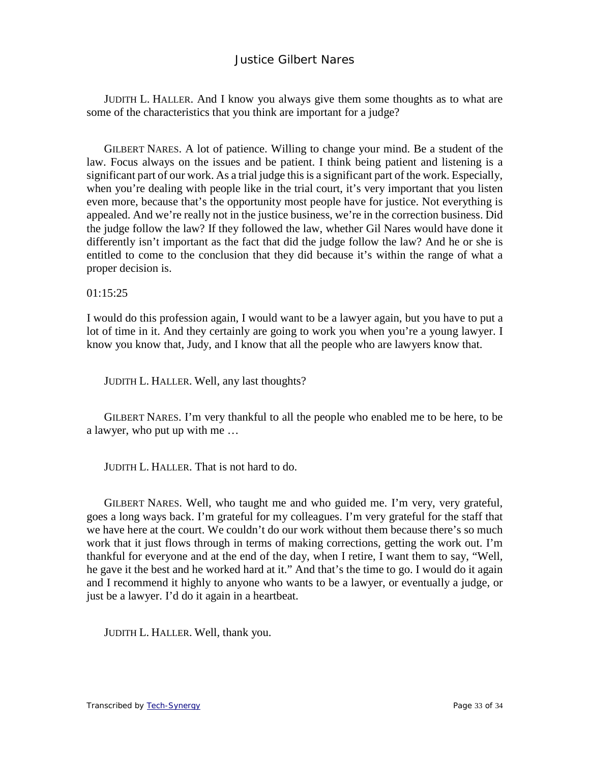JUDITH L. HALLER. And I know you always give them some thoughts as to what are some of the characteristics that you think are important for a judge?

GILBERT NARES. A lot of patience. Willing to change your mind. Be a student of the law. Focus always on the issues and be patient. I think being patient and listening is a significant part of our work. As a trial judge this is a significant part of the work. Especially, when you're dealing with people like in the trial court, it's very important that you listen even more, because that's the opportunity most people have for justice. Not everything is appealed. And we're really not in the justice business, we're in the correction business. Did the judge follow the law? If they followed the law, whether Gil Nares would have done it differently isn't important as the fact that did the judge follow the law? And he or she is entitled to come to the conclusion that they did because it's within the range of what a proper decision is.

 $01:15:25$ 

I would do this profession again, I would want to be a lawyer again, but you have to put a lot of time in it. And they certainly are going to work you when you're a young lawyer. I know you know that, Judy, and I know that all the people who are lawyers know that.

JUDITH L. HALLER. Well, any last thoughts?

GILBERT NARES. I'm very thankful to all the people who enabled me to be here, to be a lawyer, who put up with me …

JUDITH L. HALLER. That is not hard to do.

GILBERT NARES. Well, who taught me and who guided me. I'm very, very grateful, goes a long ways back. I'm grateful for my colleagues. I'm very grateful for the staff that we have here at the court. We couldn't do our work without them because there's so much work that it just flows through in terms of making corrections, getting the work out. I'm thankful for everyone and at the end of the day, when I retire, I want them to say, "Well, he gave it the best and he worked hard at it." And that's the time to go. I would do it again and I recommend it highly to anyone who wants to be a lawyer, or eventually a judge, or just be a lawyer. I'd do it again in a heartbeat.

JUDITH L. HALLER. Well, thank you.